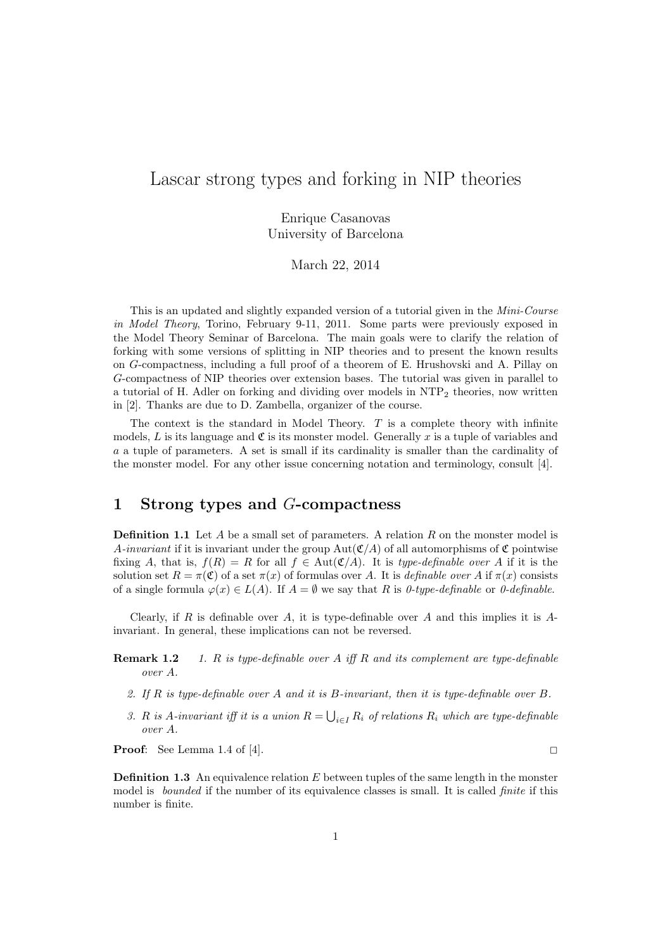# Lascar strong types and forking in NIP theories

Enrique Casanovas University of Barcelona

March 22, 2014

This is an updated and slightly expanded version of a tutorial given in the Mini-Course in Model Theory, Torino, February 9-11, 2011. Some parts were previously exposed in the Model Theory Seminar of Barcelona. The main goals were to clarify the relation of forking with some versions of splitting in NIP theories and to present the known results on G-compactness, including a full proof of a theorem of E. Hrushovski and A. Pillay on G-compactness of NIP theories over extension bases. The tutorial was given in parallel to a tutorial of H. Adler on forking and dividing over models in  $NTP<sub>2</sub>$  theories, now written in [2]. Thanks are due to D. Zambella, organizer of the course.

The context is the standard in Model Theory.  $T$  is a complete theory with infinite models, L is its language and  $\mathfrak C$  is its monster model. Generally x is a tuple of variables and a a tuple of parameters. A set is small if its cardinality is smaller than the cardinality of the monster model. For any other issue concerning notation and terminology, consult [4].

## 1 Strong types and G-compactness

**Definition 1.1** Let A be a small set of parameters. A relation R on the monster model is A-invariant if it is invariant under the group  $Aut(C/A)$  of all automorphisms of  $\mathfrak C$  pointwise fixing A, that is,  $f(R) = R$  for all  $f \in Aut(\mathfrak{C}/A)$ . It is type-definable over A if it is the solution set  $R = \pi(\mathfrak{C})$  of a set  $\pi(x)$  of formulas over A. It is *definable over* A if  $\pi(x)$  consists of a single formula  $\varphi(x) \in L(A)$ . If  $A = \emptyset$  we say that R is 0-type-definable or 0-definable.

Clearly, if R is definable over A, it is type-definable over A and this implies it is  $A$ invariant. In general, these implications can not be reversed.

- **Remark 1.2** 1. R is type-definable over A iff R and its complement are type-definable over A.
	- 2. If  $R$  is type-definable over  $A$  and it is  $B$ -invariant, then it is type-definable over  $B$ .
	- 3. R is A-invariant iff it is a union  $R = \bigcup_{i \in I} R_i$  of relations  $R_i$  which are type-definable over A.

**Proof:** See Lemma 1.4 of [4].

**Definition 1.3** An equivalence relation  $E$  between tuples of the same length in the monster model is *bounded* if the number of its equivalence classes is small. It is called *finite* if this number is finite.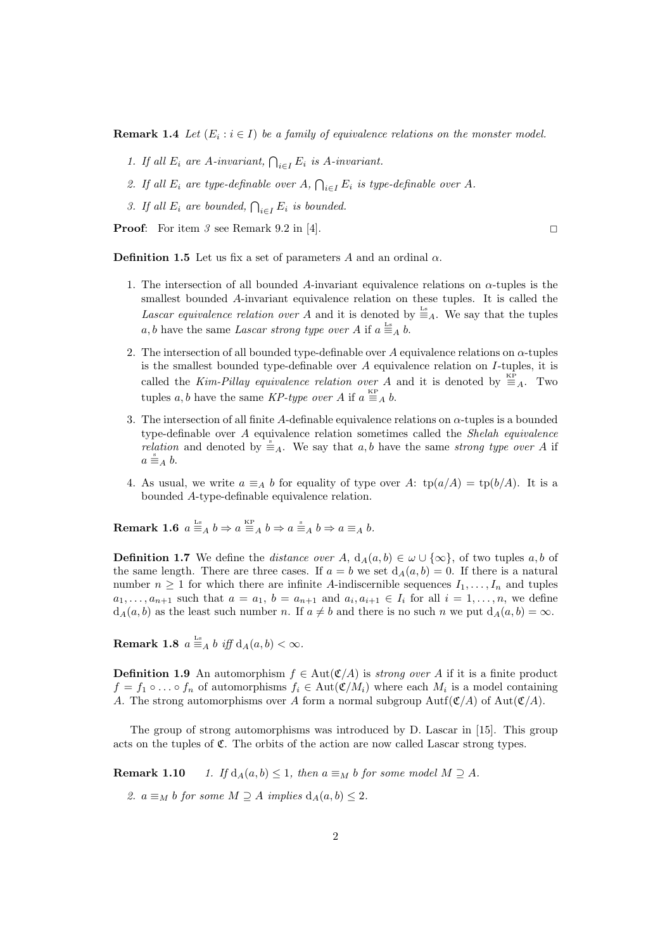**Remark 1.4** Let  $(E_i : i \in I)$  be a family of equivalence relations on the monster model.

- 1. If all  $E_i$  are A-invariant,  $\bigcap_{i \in I} E_i$  is A-invariant.
- 2. If all  $E_i$  are type-definable over  $A, \bigcap_{i \in I} E_i$  is type-definable over  $A$ .
- 3. If all  $E_i$  are bounded,  $\bigcap_{i \in I} E_i$  is bounded.

**Proof:** For item 3 see Remark 9.2 in [4].

**Definition 1.5** Let us fix a set of parameters A and an ordinal  $\alpha$ .

- 1. The intersection of all bounded A-invariant equivalence relations on  $\alpha$ -tuples is the smallest bounded A-invariant equivalence relation on these tuples. It is called the Lascar equivalence relation over A and it is denoted by  $\equiv_A^L$ . We say that the tuples a, b have the same Lascar strong type over A if  $a \stackrel{\text{Ls}}{=} A b$ .
- 2. The intersection of all bounded type-definable over A equivalence relations on  $\alpha$ -tuples is the smallest bounded type-definable over  $A$  equivalence relation on  $I$ -tuples, it is called the Kim-Pillay equivalence relation over A and it is denoted by  $\equiv_A^{\text{KP}}$ . Two tuples a, b have the same KP-type over A if  $a \equiv_A b$ .
- 3. The intersection of all finite A-definable equivalence relations on  $\alpha$ -tuples is a bounded type-definable over A equivalence relation sometimes called the Shelah equivalence *relation* and denoted by  $\stackrel{s}{\equiv}_A$ . We say that a, b have the same *strong type over* A if  $a \stackrel{\text{s}}{\equiv}_A b.$
- 4. As usual, we write  $a \equiv_A b$  for equality of type over A:  $tp(a/A) = tp(b/A)$ . It is a bounded A-type-definable equivalence relation.

**Remark 1.6**  $a \stackrel{\text{Ls}}{=} A b \Rightarrow a \stackrel{\text{KP}}{=} A b \Rightarrow a \stackrel{\text{s}}{=} A b \Rightarrow a \equiv_A b.$ 

**Definition 1.7** We define the *distance over A*,  $d_A(a, b) \in \omega \cup \{\infty\}$ , of two tuples a, b of the same length. There are three cases. If  $a = b$  we set  $d_A(a, b) = 0$ . If there is a natural number  $n \geq 1$  for which there are infinite A-indiscernible sequences  $I_1, \ldots, I_n$  and tuples  $a_1, \ldots, a_{n+1}$  such that  $a = a_1$ ,  $b = a_{n+1}$  and  $a_i, a_{i+1} \in I_i$  for all  $i = 1, \ldots, n$ , we define  $d_A(a, b)$  as the least such number n. If  $a \neq b$  and there is no such n we put  $d_A(a, b) = \infty$ .

Remark 1.8  $a \stackrel{\text{Ls}}{=} A b \text{ iff } d_A(a, b) < \infty$ .

**Definition 1.9** An automorphism  $f \in Aut(\mathfrak{C}/A)$  is *strong over A* if it is a finite product  $f = f_1 \circ \dots \circ f_n$  of automorphisms  $f_i \in Aut(\mathfrak{C}/M_i)$  where each  $M_i$  is a model containing A. The strong automorphisms over A form a normal subgroup  $Aut(f(A))$  of  $Aut(f(A))$ .

The group of strong automorphisms was introduced by D. Lascar in [15]. This group acts on the tuples of  $\mathfrak{C}$ . The orbits of the action are now called Lascar strong types.

**Remark 1.10** 1. If  $d_A(a, b) \leq 1$ , then  $a \equiv_M b$  for some model  $M \supseteq A$ .

2.  $a \equiv_M b$  for some  $M \supseteq A$  implies  $d_A(a, b) \leq 2$ .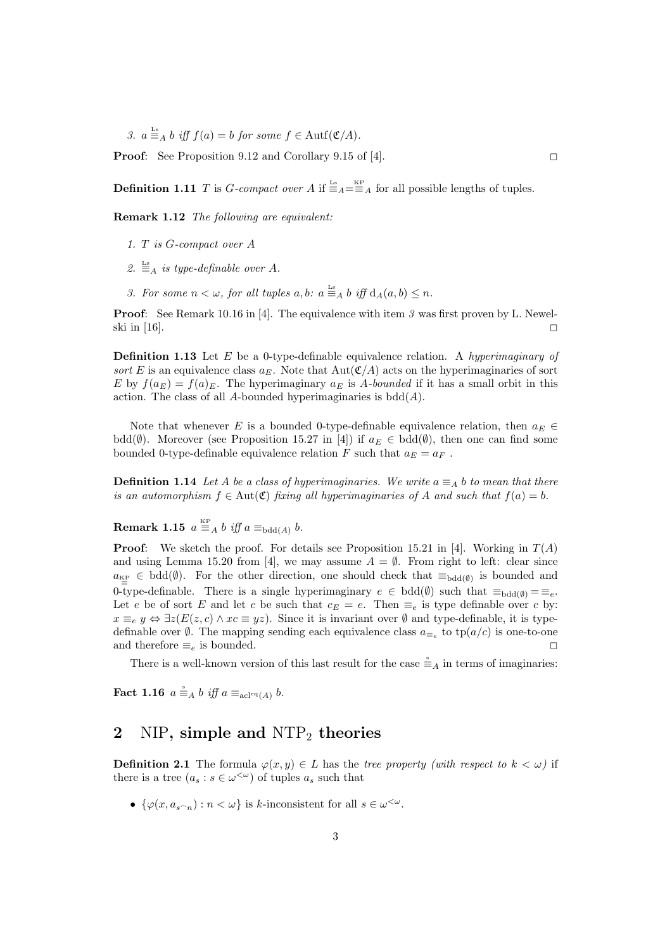3.  $a \stackrel{\text{Ls}}{=} A b \text{ iff } f(a) = b \text{ for some } f \in \text{Autf}(\mathfrak{C}/A).$ 

**Proof:** See Proposition 9.12 and Corollary 9.15 of [4].

**Definition 1.11** T is G-compact over A if  $\equiv_{A}^{\text{Ls}} = \equiv_{A}^{\text{KP}}$  for all possible lengths of tuples.

Remark 1.12 The following are equivalent:

- 1. T is G-compact over A
- 2.  $\stackrel{\text{Ls}}{=}$  a is type-definable over A.
- 3. For some  $n < \omega$ , for all tuples  $a, b$ :  $a \equiv_A b$  iff  $d_A(a, b) \leq n$ .

**Proof:** See Remark 10.16 in [4]. The equivalence with item 3 was first proven by L. Newelski in [16].  $\Box$ 

**Definition 1.13** Let  $E$  be a 0-type-definable equivalence relation. A hyperimaginary of sort E is an equivalence class  $a_E$ . Note that Aut $(\mathfrak{C}/A)$  acts on the hyperimaginaries of sort E by  $f(a_E) = f(a)_E$ . The hyperimaginary  $a_E$  is A-bounded if it has a small orbit in this action. The class of all A-bounded hyperimaginaries is  $b\ddot{\text{dd}}(A)$ .

Note that whenever E is a bounded 0-type-definable equivalence relation, then  $a_E \in$ bdd( $\emptyset$ ). Moreover (see Proposition 15.27 in [4]) if  $a_E \in \text{bdd}(\emptyset)$ , then one can find some bounded 0-type-definable equivalence relation F such that  $a_E = a_F$ .

**Definition 1.14** Let A be a class of hyperimaginaries. We write  $a \equiv_A b$  to mean that there is an automorphism  $f \in Aut(\mathfrak{C})$  fixing all hyperimaginaries of A and such that  $f(a) = b$ .

**Remark 1.15**  $a \stackrel{\text{KP}}{=} A b$  iff  $a \equiv_{\text{bdd}(A)} b$ .

**Proof:** We sketch the proof. For details see Proposition 15.21 in [4]. Working in  $T(A)$ and using Lemma 15.20 from [4], we may assume  $A = \emptyset$ . From right to left: clear since  $a_{K_P} \in \text{bdd}(\emptyset)$ . For the other direction, one should check that  $\equiv_{\text{bdd}(\emptyset)}$  is bounded and  $\overline{\mathbf{E}}$  =  $\overline{\mathbf{C}}$  =  $\overline{\mathbf{C}}$  =  $\overline{\mathbf{C}}$  =  $\overline{\mathbf{C}}$  =  $\overline{\mathbf{C}}$  =  $\overline{\mathbf{C}}$  =  $\overline{\mathbf{C}}$  =  $\overline{\mathbf{C}}$  =  $\overline{\mathbf{C}}$  =  $\overline{\mathbf{C}}$  =  $\overline{\mathbf{C}}$  =  $\overline{\mathbf{C}}$  =  $\overline{\mathbf{C}}$  =  $\overline{\mathbf{C}}$  =  $\overline{\mathbf{C}}$ Let e be of sort E and let c be such that  $c_E = e$ . Then  $\equiv_e$  is type definable over c by:  $x \equiv_e y \Leftrightarrow \exists z (E(z, c) \land xc \equiv yz)$ . Since it is invariant over  $\emptyset$  and type-definable, it is typedefinable over  $\emptyset$ . The mapping sending each equivalence class  $a_{\equiv_e}$  to  $tp(a/c)$  is one-to-one and therefore  $\equiv_e$  is bounded.

There is a well-known version of this last result for the case  $\stackrel{s}{\equiv}_A$  in terms of imaginaries:

**Fact 1.16**  $a \stackrel{\text{s}}{\equiv}_A b$  iff  $a \equiv_{\text{acl}^{eq}(A)} b$ .

#### 2 NIP, simple and  $NTP_2$  theories

**Definition 2.1** The formula  $\varphi(x, y) \in L$  has the tree property (with respect to  $k < \omega$ ) if there is a tree  $(a_s : s \in \omega^{\langle \omega \rangle})$  of tuples  $a_s$  such that

•  $\{\varphi(x, a_{s^n}) : n < \omega\}$  is k-inconsistent for all  $s \in \omega^{\langle \omega \rangle}$ .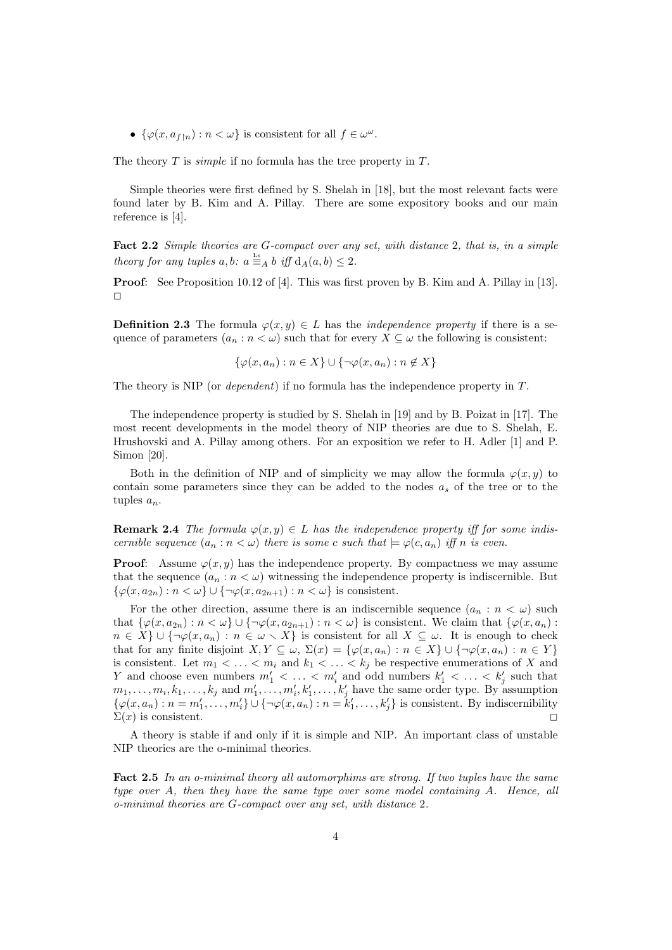•  $\{\varphi(x, a_{f\upharpoonright n}) : n < \omega\}$  is consistent for all  $f \in \omega^{\omega}$ .

The theory  $T$  is *simple* if no formula has the tree property in  $T$ .

Simple theories were first defined by S. Shelah in [18], but the most relevant facts were found later by B. Kim and A. Pillay. There are some expository books and our main reference is [4].

Fact 2.2 Simple theories are G-compact over any set, with distance 2, that is, in a simple theory for any tuples  $a, b: a \stackrel{\text{Ls}}{=} A b \text{ iff } d_A(a, b) \leq 2.$ 

Proof: See Proposition 10.12 of [4]. This was first proven by B. Kim and A. Pillay in [13].  $\Box$ 

**Definition 2.3** The formula  $\varphi(x, y) \in L$  has the *independence property* if there is a sequence of parameters  $(a_n : n < \omega)$  such that for every  $X \subseteq \omega$  the following is consistent:

$$
\{\varphi(x, a_n) : n \in X\} \cup \{\neg \varphi(x, a_n) : n \notin X\}
$$

The theory is NIP (or *dependent*) if no formula has the independence property in T.

The independence property is studied by S. Shelah in [19] and by B. Poizat in [17]. The most recent developments in the model theory of NIP theories are due to S. Shelah, E. Hrushovski and A. Pillay among others. For an exposition we refer to H. Adler [1] and P. Simon [20].

Both in the definition of NIP and of simplicity we may allow the formula  $\varphi(x, y)$  to contain some parameters since they can be added to the nodes  $a_s$  of the tree or to the tuples  $a_n$ .

**Remark 2.4** The formula  $\varphi(x, y) \in L$  has the independence property iff for some indiscernible sequence  $(a_n : n < \omega)$  there is some c such that  $\models \varphi(c, a_n)$  iff n is even.

**Proof:** Assume  $\varphi(x, y)$  has the independence property. By compactness we may assume that the sequence  $(a_n : n < \omega)$  witnessing the independence property is indiscernible. But  $\{\varphi(x, a_{2n}) : n < \omega\} \cup \{\neg \varphi(x, a_{2n+1}) : n < \omega\}$  is consistent.

For the other direction, assume there is an indiscernible sequence  $(a_n : n < \omega)$  such that  $\{\varphi(x, a_{2n}) : n < \omega\} \cup \{\neg \varphi(x, a_{2n+1}) : n < \omega\}$  is consistent. We claim that  $\{\varphi(x, a_n) : n < \omega\}$  $n \in X$   $\cup$  {¬ $\varphi(x, a_n) : n \in \omega \setminus X$ } is consistent for all  $X \subseteq \omega$ . It is enough to check that for any finite disjoint  $X, Y \subseteq \omega$ ,  $\Sigma(x) = \{\varphi(x, a_n) : n \in X\} \cup \{\neg \varphi(x, a_n) : n \in Y\}$ is consistent. Let  $m_1 < \ldots < m_i$  and  $k_1 < \ldots < k_j$  be respective enumerations of X and Y and choose even numbers  $m'_1 < \ldots < m'_i$  and odd numbers  $k'_1 < \ldots < k'_j$  such that  $m_1, \ldots, m_i, k_1, \ldots, k_j$  and  $m'_1, \ldots, m'_i, k'_1, \ldots, k'_j$  have the same order type. By assumption  $\{\varphi(x, a_n) : n = m'_1, \ldots, m'_i\} \cup \{\neg \varphi(x, a_n) : n = k'_1, \ldots, k'_j\}$  is consistent. By indiscernibility  $\Sigma(x)$  is consistent.

A theory is stable if and only if it is simple and NIP. An important class of unstable NIP theories are the o-minimal theories.

Fact 2.5 In an o-minimal theory all automorphims are strong. If two tuples have the same type over A, then they have the same type over some model containing A. Hence, all o-minimal theories are G-compact over any set, with distance 2.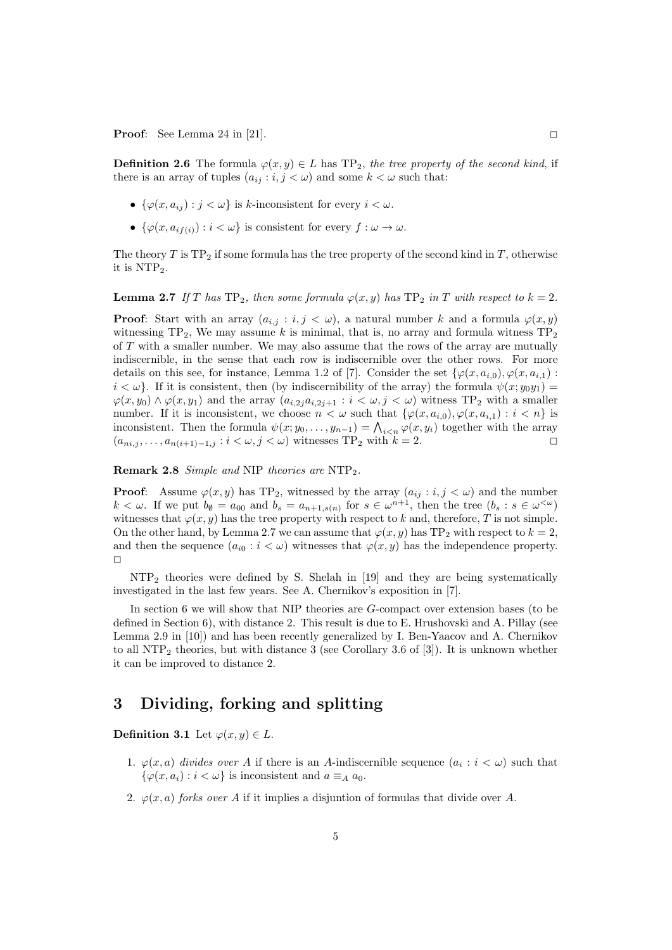**Proof:** See Lemma 24 in [21].

**Definition 2.6** The formula  $\varphi(x, y) \in L$  has TP<sub>2</sub>, the tree property of the second kind, if there is an array of tuples  $(a_{ij} : i, j < \omega)$  and some  $k < \omega$  such that:

- $\{\varphi(x, a_{ij}) : j < \omega\}$  is k-inconsistent for every  $i < \omega$ .
- $\{\varphi(x, a_{if(i)}) : i < \omega\}$  is consistent for every  $f : \omega \to \omega$ .

The theory  $T$  is TP<sub>2</sub> if some formula has the tree property of the second kind in  $T$ , otherwise it is  $NTP<sub>2</sub>$ .

**Lemma 2.7** If T has  $TP_2$ , then some formula  $\varphi(x, y)$  has  $TP_2$  in T with respect to  $k = 2$ .

**Proof:** Start with an array  $(a_{i,j} : i, j < \omega)$ , a natural number k and a formula  $\varphi(x, y)$ witnessing  $TP_2$ , We may assume k is minimal, that is, no array and formula witness  $TP_2$ of T with a smaller number. We may also assume that the rows of the array are mutually indiscernible, in the sense that each row is indiscernible over the other rows. For more details on this see, for instance, Lemma 1.2 of [7]. Consider the set  $\{\varphi(x, a_{i,0}), \varphi(x, a_{i,1})\}$ :  $i < \omega$ . If it is consistent, then (by indiscernibility of the array) the formula  $\psi(x; y_0y_1) =$  $\varphi(x, y_0) \wedge \varphi(x, y_1)$  and the array  $(a_{i,2j}a_{i,2j+1} : i < \omega, j < \omega)$  witness TP<sub>2</sub> with a smaller number. If it is inconsistent, we choose  $n < \omega$  such that  $\{\varphi(x, a_{i,0}), \varphi(x, a_{i,1}) : i < n\}$  is inconsistent. Then the formula  $\psi(x; y_0, \dots, y_{n-1}) = \bigwedge_{i \leq n} \varphi(x, y_i)$  together with the array  $(a_{ni,j}, \ldots, a_{n(i+1)-1,j} : i < \omega, j < \omega)$  witnesses TP<sub>2</sub> with  $k = 2$ .

Remark 2.8 Simple and NIP theories are NTP<sub>2</sub>.

**Proof:** Assume  $\varphi(x, y)$  has TP<sub>2</sub>, witnessed by the array  $(a_{ij} : i, j < \omega)$  and the number  $k < \omega$ . If we put  $b_{\emptyset} = a_{00}$  and  $b_s = a_{n+1,s(n)}$  for  $s \in \omega^{n+1}$ , then the tree  $(b_s : s \in \omega^{<\omega})$ witnesses that  $\varphi(x, y)$  has the tree property with respect to k and, therefore, T is not simple. On the other hand, by Lemma 2.7 we can assume that  $\varphi(x, y)$  has TP<sub>2</sub> with respect to  $k = 2$ , and then the sequence  $(a_{i0} : i < \omega)$  witnesses that  $\varphi(x, y)$  has the independence property.  $\Box$ 

NTP<sup>2</sup> theories were defined by S. Shelah in [19] and they are being systematically investigated in the last few years. See A. Chernikov's exposition in [7].

In section 6 we will show that NIP theories are G-compact over extension bases (to be defined in Section 6), with distance 2. This result is due to E. Hrushovski and A. Pillay (see Lemma 2.9 in [10]) and has been recently generalized by I. Ben-Yaacov and A. Chernikov to all NTP<sub>2</sub> theories, but with distance 3 (see Corollary 3.6 of [3]). It is unknown whether it can be improved to distance 2.

# 3 Dividing, forking and splitting

Definition 3.1 Let  $\varphi(x, y) \in L$ .

1.  $\varphi(x, a)$  divides over A if there is an A-indiscernible sequence  $(a_i : i < \omega)$  such that  $\{\varphi(x, a_i) : i < \omega\}$  is inconsistent and  $a \equiv_A a_0$ .

5

2.  $\varphi(x, a)$  forks over A if it implies a disjuntion of formulas that divide over A.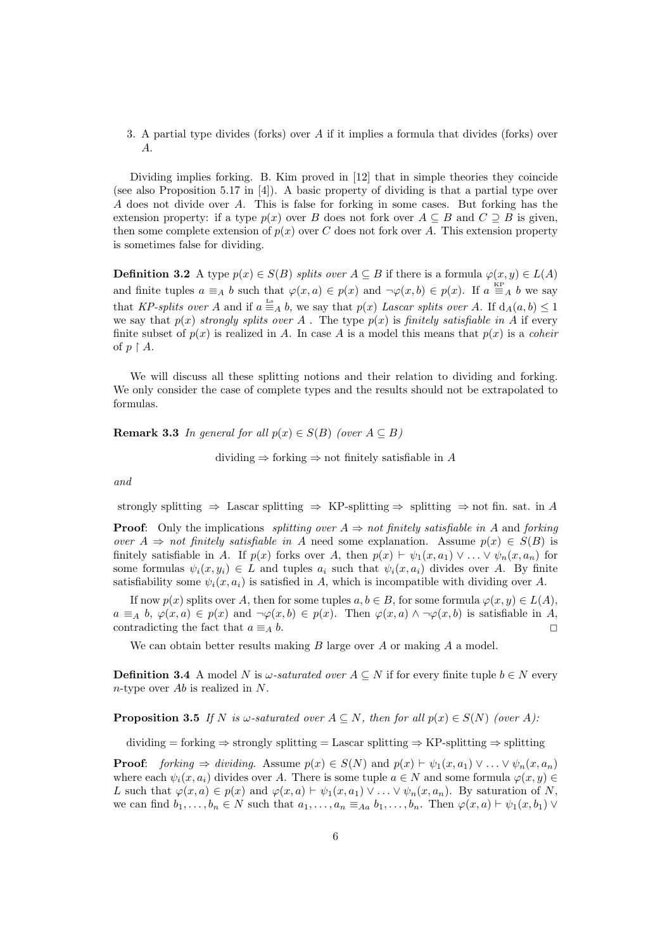3. A partial type divides (forks) over A if it implies a formula that divides (forks) over A.

Dividing implies forking. B. Kim proved in [12] that in simple theories they coincide (see also Proposition 5.17 in [4]). A basic property of dividing is that a partial type over A does not divide over A. This is false for forking in some cases. But forking has the extension property: if a type  $p(x)$  over B does not fork over  $A \subseteq B$  and  $C \supseteq B$  is given, then some complete extension of  $p(x)$  over C does not fork over A. This extension property is sometimes false for dividing.

**Definition 3.2** A type  $p(x) \in S(B)$  splits over  $A \subseteq B$  if there is a formula  $\varphi(x, y) \in L(A)$ and finite tuples  $a \equiv_A b$  such that  $\varphi(x, a) \in p(x)$  and  $\neg \varphi(x, b) \in p(x)$ . If  $a \stackrel{\text{KP}}{=} A b$  we say that KP-splits over A and if  $a \stackrel{\text{Ls}}{=} A b$ , we say that  $p(x)$  Lascar splits over A. If  $d_A(a, b) \leq 1$ we say that  $p(x)$  strongly splits over A. The type  $p(x)$  is finitely satisfiable in A if every finite subset of  $p(x)$  is realized in A. In case A is a model this means that  $p(x)$  is a coheir of  $p \restriction A$ .

We will discuss all these splitting notions and their relation to dividing and forking. We only consider the case of complete types and the results should not be extrapolated to formulas.

**Remark 3.3** In general for all  $p(x) \in S(B)$  (over  $A \subseteq B$ )

dividing  $\Rightarrow$  forking  $\Rightarrow$  not finitely satisfiable in A

and

strongly splitting  $\Rightarrow$  Lascar splitting  $\Rightarrow$  KP-splitting  $\Rightarrow$  splitting  $\Rightarrow$  not fin. sat. in A

**Proof:** Only the implications *splitting over*  $A \Rightarrow$  not finitely satisfiable in A and forking over  $A \Rightarrow not finitely satisfiable in A need some explanation. Assume  $p(x) \in S(B)$  is$ finitely satisfiable in A. If  $p(x)$  forks over A, then  $p(x) \vdash \psi_1(x, a_1) \vee \ldots \vee \psi_n(x, a_n)$  for some formulas  $\psi_i(x, y_i) \in L$  and tuples  $a_i$  such that  $\psi_i(x, a_i)$  divides over A. By finite satisfiability some  $\psi_i(x, a_i)$  is satisfied in A, which is incompatible with dividing over A.

If now  $p(x)$  splits over A, then for some tuples  $a, b \in B$ , for some formula  $\varphi(x, y) \in L(A)$ ,  $a \equiv_A b$ ,  $\varphi(x, a) \in p(x)$  and  $\neg \varphi(x, b) \in p(x)$ . Then  $\varphi(x, a) \wedge \neg \varphi(x, b)$  is satisfiable in A, contradicting the fact that  $a \equiv_A b$ .

We can obtain better results making  $B$  large over  $A$  or making  $A$  a model.

**Definition 3.4** A model N is  $\omega$ -saturated over  $A \subseteq N$  if for every finite tuple  $b \in N$  every n-type over Ab is realized in N.

**Proposition 3.5** If N is  $\omega$ -saturated over  $A \subseteq N$ , then for all  $p(x) \in S(N)$  (over A):

dividing = forking  $\Rightarrow$  strongly splitting = Lascar splitting  $\Rightarrow$  KP-splitting  $\Rightarrow$  splitting

**Proof:** forking  $\Rightarrow$  dividing. Assume  $p(x) \in S(N)$  and  $p(x) \vdash \psi_1(x, a_1) \vee \ldots \vee \psi_n(x, a_n)$ where each  $\psi_i(x, a_i)$  divides over A. There is some tuple  $a \in N$  and some formula  $\varphi(x, y) \in$ L such that  $\varphi(x, a) \in p(x)$  and  $\varphi(x, a) \vdash \psi_1(x, a_1) \vee \ldots \vee \psi_n(x, a_n)$ . By saturation of N, we can find  $b_1, \ldots, b_n \in N$  such that  $a_1, \ldots, a_n \equiv_{A} b_1, \ldots, b_n$ . Then  $\varphi(x, a) \vdash \psi_1(x, b_1) \vee$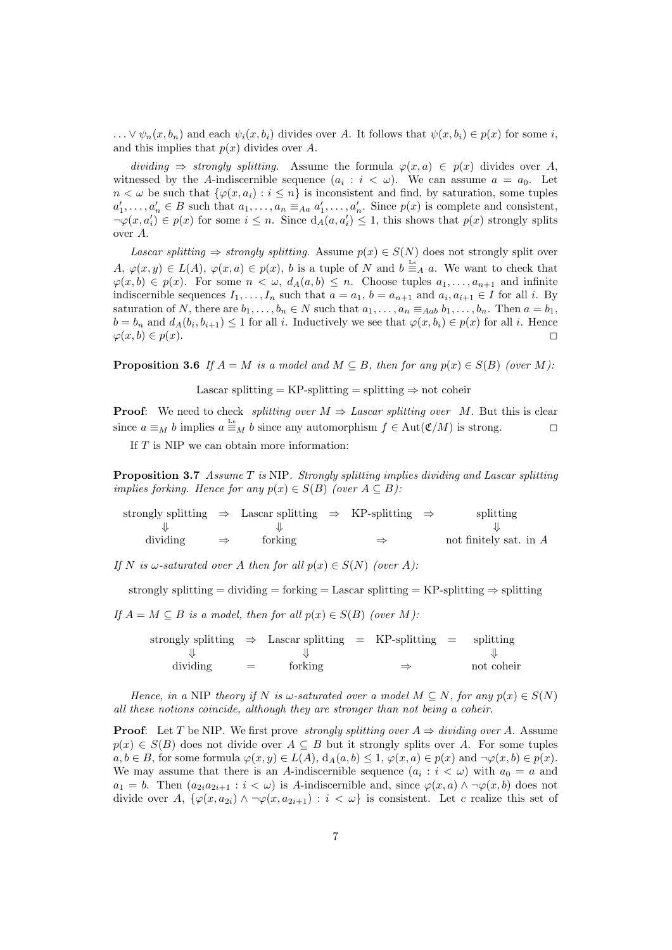$\ldots \vee \psi_n(x, b_n)$  and each  $\psi_i(x, b_i)$  divides over A. It follows that  $\psi(x, b_i) \in p(x)$  for some i, and this implies that  $p(x)$  divides over A.

dividing  $⇒$  strongly splitting. Assume the formula  $\varphi(x, a) \in p(x)$  divides over A, witnessed by the A-indiscernible sequence  $(a_i : i < \omega)$ . We can assume  $a = a_0$ . Let  $n < \omega$  be such that  $\{\varphi(x, a_i) : i \leq n\}$  is inconsistent and find, by saturation, some tuples  $a'_1, \ldots, a'_n \in B$  such that  $a_1, \ldots, a_n \equiv_{Aa} a'_1, \ldots, a'_n$ . Since  $p(x)$  is complete and consistent,  $\neg\varphi(x, a'_i) \in p(x)$  for some  $i \leq n$ . Since  $d_A(a, a'_i) \leq 1$ , this shows that  $p(x)$  strongly splits over A.

Lascar splitting  $\Rightarrow$  strongly splitting. Assume  $p(x) \in S(N)$  does not strongly split over  $A, \varphi(x,y) \in L(A), \varphi(x,a) \in p(x), b$  is a tuple of N and  $b \equiv_A a$ . We want to check that  $\varphi(x, b) \in p(x)$ . For some  $n < \omega$ ,  $d_A(a, b) \leq n$ . Choose tuples  $a_1, \ldots, a_{n+1}$  and infinite indiscernible sequences  $I_1, \ldots, I_n$  such that  $a = a_1$ ,  $b = a_{n+1}$  and  $a_i, a_{i+1} \in I$  for all i. By saturation of N, there are  $b_1, \ldots, b_n \in N$  such that  $a_1, \ldots, a_n \equiv_{Aab} b_1, \ldots, b_n$ . Then  $a = b_1$ ,  $b = b_n$  and  $d_A(b_i, b_{i+1}) \leq 1$  for all i. Inductively we see that  $\varphi(x, b_i) \in p(x)$  for all i. Hence  $\varphi(x, b) \in p(x).$ 

**Proposition 3.6** If  $A = M$  is a model and  $M \subseteq B$ , then for any  $p(x) \in S(B)$  (over M):

Lascar splitting = KP-splitting = splitting  $\Rightarrow$  not coheir

**Proof:** We need to check *splitting over*  $M \Rightarrow$  Lascar splitting over M. But this is clear since  $a \equiv_M b$  implies  $a \equiv_M b$  since any automorphism  $f \in Aut(\mathfrak{C}/M)$  is strong.

If  $T$  is NIP we can obtain more information:

Proposition 3.7 Assume T is NIP. Strongly splitting implies dividing and Lascar splitting implies forking. Hence for any  $p(x) \in S(B)$  (over  $A \subseteq B$ ):

| strongly splitting $\Rightarrow$ Lascar splitting $\Rightarrow$ KP-splitting $\Rightarrow$ |               |         |               | splitting                |
|--------------------------------------------------------------------------------------------|---------------|---------|---------------|--------------------------|
|                                                                                            |               |         |               |                          |
| dividing                                                                                   | $\Rightarrow$ | forking | $\Rightarrow$ | not finitely sat. in $A$ |

If N is  $\omega$ -saturated over A then for all  $p(x) \in S(N)$  (over A):

strongly splitting = dividing = forking = Lascar splitting = KP-splitting  $\Rightarrow$  splitting

If  $A = M \subseteq B$  is a model, then for all  $p(x) \in S(B)$  (over M):

strongly splitting  $\Rightarrow$  Lascar splitting = KP-splitting = splitting  $\Downarrow$ dividing  $=$  forking  $\Rightarrow$  not coheir

Hence, in a NIP theory if N is  $\omega$ -saturated over a model  $M \subseteq N$ , for any  $p(x) \in S(N)$ all these notions coincide, although they are stronger than not being a coheir.

**Proof:** Let T be NIP. We first prove *strongly splitting over*  $A \Rightarrow dividing\ over\ A$ . Assume  $p(x) \in S(B)$  does not divide over  $A \subseteq B$  but it strongly splits over A. For some tuples  $a, b \in B$ , for some formula  $\varphi(x, y) \in L(A)$ ,  $d_A(a, b) \leq 1$ ,  $\varphi(x, a) \in p(x)$  and  $\neg \varphi(x, b) \in p(x)$ . We may assume that there is an A-indiscernible sequence  $(a_i : i < \omega)$  with  $a_0 = a$  and  $a_1 = b$ . Then  $(a_{2i}a_{2i+1} : i < \omega)$  is A-indiscernible and, since  $\varphi(x, a) \wedge \neg \varphi(x, b)$  does not divide over A,  $\{\varphi(x, a_{2i}) \wedge \neg \varphi(x, a_{2i+1}) : i < \omega\}$  is consistent. Let c realize this set of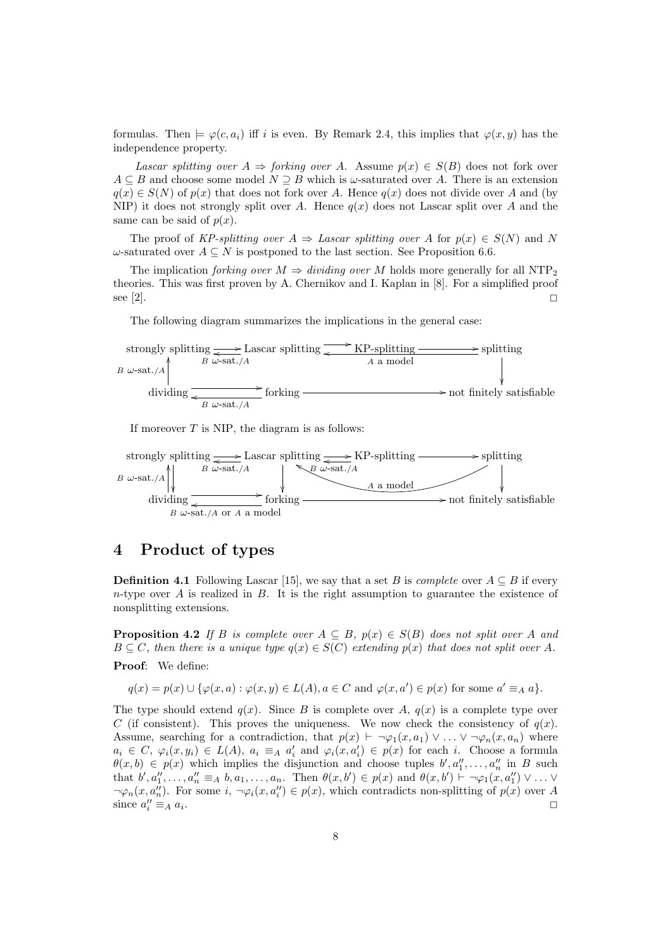formulas. Then  $\models \varphi(c, a_i)$  iff i is even. By Remark 2.4, this implies that  $\varphi(x, y)$  has the independence property.

Lascar splitting over  $A \Rightarrow$  forking over A. Assume  $p(x) \in S(B)$  does not fork over  $A \subseteq B$  and choose some model  $N \supseteq B$  which is  $\omega$ -saturated over A. There is an extension  $q(x) \in S(N)$  of  $p(x)$  that does not fork over A. Hence  $q(x)$  does not divide over A and (by NIP) it does not strongly split over A. Hence  $q(x)$  does not Lascar split over A and the same can be said of  $p(x)$ .

The proof of KP-splitting over  $A \Rightarrow$  Lascar splitting over A for  $p(x) \in S(N)$  and N  $\omega$ -saturated over  $A \subseteq N$  is postponed to the last section. See Proposition 6.6.

The implication forking over  $M \Rightarrow dividing\ over\ M$  holds more generally for all NTP<sub>2</sub> theories. This was first proven by A. Chernikov and I. Kaplan in [8]. For a simplified proof see [2].

The following diagram summarizes the implications in the general case:

$$
B \omega
$$
-sat./A  
dividing  $\frac{B \omega$ -sat./A  
dividing  $\frac{B \omega$ -sat./A}  
dividing  $\frac{C}{\omega$ -sat./A}  
dividing  $\frac{C}{\omega$ -sat./A}  
for king  $\frac{C}{\omega}$  for king

If moreover  $T$  is NIP, the diagram is as follows:



# 4 Product of types

**Definition 4.1** Following Lascar [15], we say that a set B is *complete* over  $A \subseteq B$  if every  $n$ -type over A is realized in B. It is the right assumption to guarantee the existence of nonsplitting extensions.

**Proposition 4.2** If B is complete over  $A \subseteq B$ ,  $p(x) \in S(B)$  does not split over A and  $B \subseteq C$ , then there is a unique type  $q(x) \in S(C)$  extending  $p(x)$  that does not split over A.

#### Proof: We define:

$$
q(x) = p(x) \cup \{ \varphi(x, a) : \varphi(x, y) \in L(A), a \in C \text{ and } \varphi(x, a') \in p(x) \text{ for some } a' \equiv_A a \}.
$$

The type should extend  $q(x)$ . Since B is complete over A,  $q(x)$  is a complete type over C (if consistent). This proves the uniqueness. We now check the consistency of  $q(x)$ . Assume, searching for a contradiction, that  $p(x) \vdash \neg \varphi_1(x, a_1) \vee \ldots \vee \neg \varphi_n(x, a_n)$  where  $a_i \in C, \ \varphi_i(x, y_i) \in L(A), \ a_i \equiv_A a'_i \text{ and } \varphi_i(x, a'_i) \in p(x) \text{ for each } i. \text{ Choose a formula}$  $\theta(x, b) \in p(x)$  which implies the disjunction and choose tuples  $b', a''_1, \ldots, a''_n$  in B such that  $b', a''_1, \ldots, a''_n \equiv_A b, a_1, \ldots, a_n$ . Then  $\theta(x, b') \in p(x)$  and  $\theta(x, b') \vdash \neg \varphi_1(x, a''_1) \vee \ldots \vee$  $\neg \varphi_n(x, a''_n)$ . For some  $i, \neg \varphi_i(x, a''_i) \in p(x)$ , which contradicts non-splitting of  $p(x)$  over A since  $a_i'' \equiv_A a_i$ . The contract of the contract of the contract of the contract of the contract of the contract of the contract of the contract of the contract of the contract of the contract of the contract of the contract of the contrac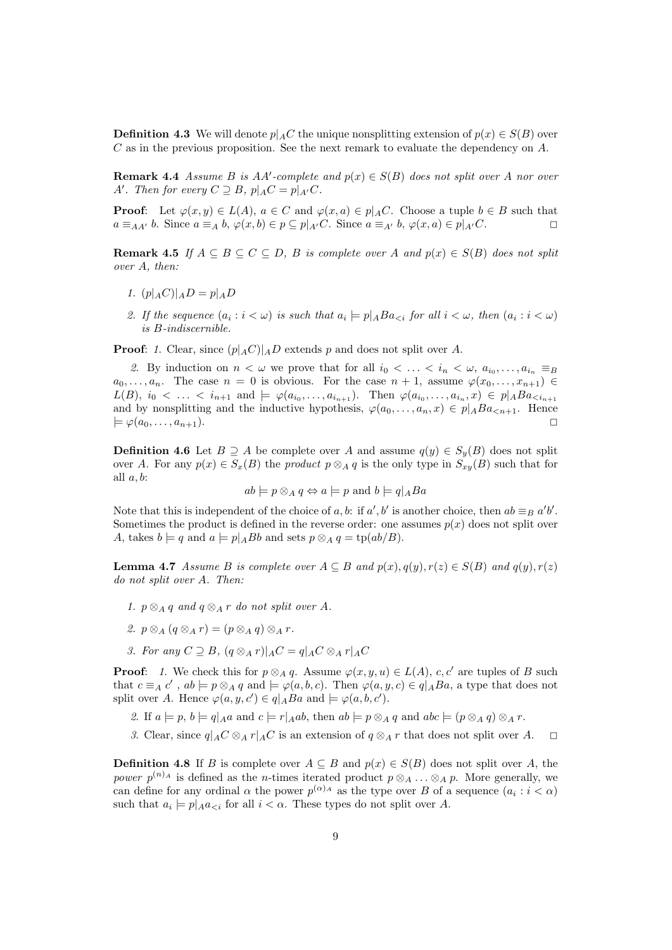**Definition 4.3** We will denote  $p|_A C$  the unique nonsplitting extension of  $p(x) \in S(B)$  over  $C$  as in the previous proposition. See the next remark to evaluate the dependency on  $A$ .

**Remark 4.4** Assume B is AA'-complete and  $p(x) \in S(B)$  does not split over A nor over A'. Then for every  $C \supseteq B$ ,  $p|_A C = p|_{A'} C$ .

**Proof:** Let  $\varphi(x, y) \in L(A)$ ,  $a \in C$  and  $\varphi(x, a) \in p|_A C$ . Choose a tuple  $b \in B$  such that  $a \equiv_{AA'} b$ . Since  $a \equiv_A b$ ,  $\varphi(x, b) \in p \subseteq p|_{A'}C$ . Since  $a \equiv_{A'} b$ ,  $\varphi(x, a) \in p|_{A'}C$ .

Remark 4.5 If  $A \subseteq B \subseteq C \subseteq D$ , B is complete over A and  $p(x) \in S(B)$  does not split over A, then:

- 1.  $(p|_A C)|_A D = p|_A D$
- 2. If the sequence  $(a_i : i < \omega)$  is such that  $a_i \models p \mid_A Ba_{\leq i}$  for all  $i < \omega$ , then  $(a_i : i < \omega)$ is B-indiscernible.

**Proof:** 1. Clear, since  $(p|_A C)|_A D$  extends p and does not split over A.

2. By induction on  $n < \omega$  we prove that for all  $i_0 < \ldots < i_n < \omega, a_{i_0}, \ldots, a_{i_n} \equiv_B$  $a_0, \ldots, a_n$ . The case  $n = 0$  is obvious. For the case  $n + 1$ , assume  $\varphi(x_0, \ldots, x_{n+1}) \in$  $L(B)$ ,  $i_0 < \ldots < i_{n+1}$  and  $\models \varphi(a_{i_0}, \ldots, a_{i_{n+1}})$ . Then  $\varphi(a_{i_0}, \ldots, a_{i_n}, x) \in p|_A Ba_{\leq i_{n+1}}$ and by nonsplitting and the inductive hypothesis,  $\varphi(a_0, \ldots, a_n, x) \in p|_A Ba_{\leq n+1}$ . Hence  $\models \varphi(a_0, \ldots, a_{n+1}).$ 

**Definition 4.6** Let  $B \supseteq A$  be complete over A and assume  $q(y) \in S_n(B)$  does not split over A. For any  $p(x) \in S_x(B)$  the product  $p \otimes_A q$  is the only type in  $S_{xy}(B)$  such that for all  $a, b$ :

$$
ab \models p \otimes_A q \Leftrightarrow a \models p \text{ and } b \models q \mid_A Ba
$$

Note that this is independent of the choice of a, b: if  $a', b'$  is another choice, then  $ab \equiv_B a'b'$ . Sometimes the product is defined in the reverse order: one assumes  $p(x)$  does not split over A, takes  $b \models q$  and  $a \models p|_A Bb$  and sets  $p \otimes_A q = \text{tp}(ab/B)$ .

**Lemma 4.7** Assume B is complete over  $A \subseteq B$  and  $p(x), q(y), r(z) \in S(B)$  and  $q(y), r(z)$ do not split over A. Then:

- 1.  $p \otimes_A q$  and  $q \otimes_A r$  do not split over A.
- 2.  $p \otimes_A (q \otimes_A r) = (p \otimes_A q) \otimes_A r$ .
- 3. For any  $C \supseteq B$ ,  $(q \otimes_A r)|_A C = q|_A C \otimes_A r|_A C$

**Proof:** 1. We check this for  $p \otimes_A q$ . Assume  $\varphi(x, y, u) \in L(A)$ , c, c' are tuples of B such that  $c \equiv_A c'$ ,  $ab \models p \otimes_A q$  and  $\models \varphi(a, b, c)$ . Then  $\varphi(a, y, c) \in q \mid_A Ba$ , a type that does not split over A. Hence  $\varphi(a, y, c') \in q|_A Ba$  and  $\models \varphi(a, b, c')$ .

- 2. If  $a \models p, b \models q \mid_A a$  and  $c \models r \mid_A ab$ , then  $ab \models p \otimes_A q$  and  $abc \models (p \otimes_A q) \otimes_A r$ .
- 3. Clear, since  $q|_AC \otimes_A r|_AC$  is an extension of  $q \otimes_A r$  that does not split over A.  $\square$

**Definition 4.8** If B is complete over  $A \subseteq B$  and  $p(x) \in S(B)$  does not split over A, the power  $p^{(n)}$ <sup>A</sup> is defined as the *n*-times iterated product  $p \otimes_A \ldots \otimes_A p$ . More generally, we can define for any ordinal  $\alpha$  the power  $p^{(\alpha)_A}$  as the type over B of a sequence  $(a_i : i < \alpha)$ such that  $a_i \models p|_{A}a_{\leq i}$  for all  $i < \alpha$ . These types do not split over A.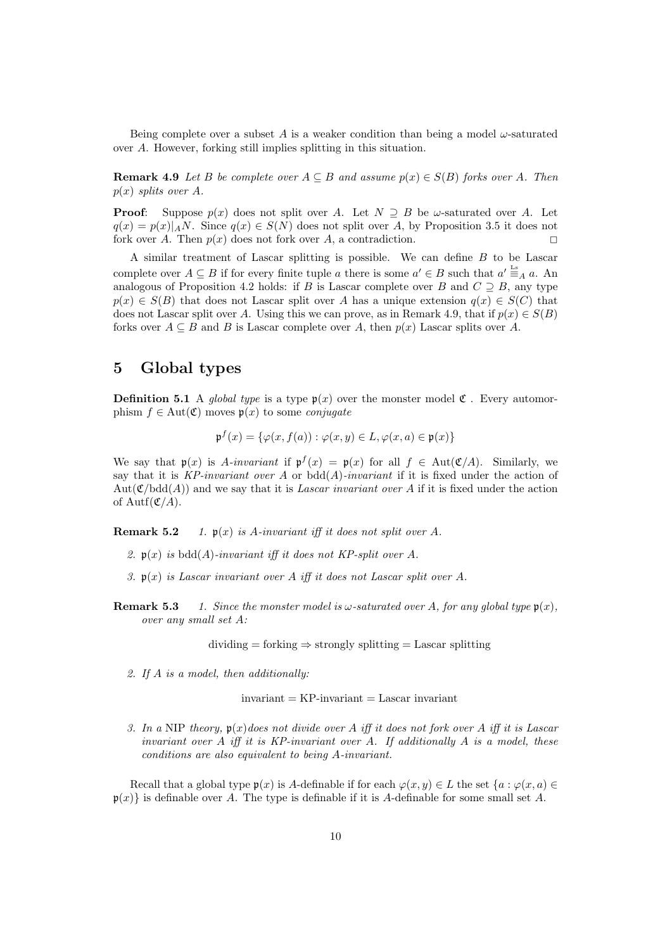Being complete over a subset A is a weaker condition than being a model  $\omega$ -saturated over A. However, forking still implies splitting in this situation.

**Remark 4.9** Let B be complete over  $A \subseteq B$  and assume  $p(x) \in S(B)$  forks over A. Then  $p(x)$  splits over A.

**Proof:** Suppose  $p(x)$  does not split over A. Let  $N \supseteq B$  be  $\omega$ -saturated over A. Let  $q(x) = p(x)|_A N$ . Since  $q(x) \in S(N)$  does not split over A, by Proposition 3.5 it does not fork over A. Then  $p(x)$  does not fork over A, a contradiction.

A similar treatment of Lascar splitting is possible. We can define B to be Lascar complete over  $A \subseteq B$  if for every finite tuple a there is some  $a' \in B$  such that  $a' \stackrel{\text{Ls}}{=} A a$ . An analogous of Proposition 4.2 holds: if B is Lascar complete over B and  $C \supseteq B$ , any type  $p(x) \in S(B)$  that does not Lascar split over A has a unique extension  $q(x) \in S(C)$  that does not Lascar split over A. Using this we can prove, as in Remark 4.9, that if  $p(x) \in S(B)$ forks over  $A \subseteq B$  and B is Lascar complete over A, then  $p(x)$  Lascar splits over A.

## 5 Global types

**Definition 5.1** A global type is a type  $\mathfrak{p}(x)$  over the monster model  $\mathfrak{C}$ . Every automorphism  $f \in Aut(\mathfrak{C})$  moves  $\mathfrak{p}(x)$  to some *conjugate* 

$$
\mathfrak{p}^f(x) = \{ \varphi(x, f(a)) : \varphi(x, y) \in L, \varphi(x, a) \in \mathfrak{p}(x) \}
$$

We say that  $\mathfrak{p}(x)$  is A-invariant if  $\mathfrak{p}^f(x) = \mathfrak{p}(x)$  for all  $f \in Aut(\mathfrak{C}/A)$ . Similarly, we say that it is  $KP$ -invariant over A or bdd(A)-invariant if it is fixed under the action of  $Aut(\mathfrak{C}/\text{bdd}(A))$  and we say that it is Lascar invariant over A if it is fixed under the action of Autf $({\mathfrak C}/A)$ .

**Remark 5.2** 1.  $\mathfrak{p}(x)$  is A-invariant iff it does not split over A.

- 2.  $\mathfrak{p}(x)$  is bdd(A)-invariant iff it does not KP-split over A.
- 3.  $\mathfrak{p}(x)$  is Lascar invariant over A iff it does not Lascar split over A.
- **Remark 5.3** 1. Since the monster model is  $\omega$ -saturated over A, for any global type  $\mathfrak{p}(x)$ , over any small set A:

 $dividing = forking \Rightarrow strongly splitting = Lascar splitting$ 

2. If A is a model, then additionally:

 $invariant = KP-invariant = Laser invariant$ 

3. In a NIP theory,  $\mathfrak{p}(x)$  does not divide over A iff it does not fork over A iff it is Lascar invariant over  $A$  iff it is KP-invariant over  $A$ . If additionally  $A$  is a model, these conditions are also equivalent to being A-invariant.

Recall that a global type  $p(x)$  is A-definable if for each  $\varphi(x, y) \in L$  the set  $\{a : \varphi(x, a) \in L\}$  $p(x)$  is definable over A. The type is definable if it is A-definable for some small set A.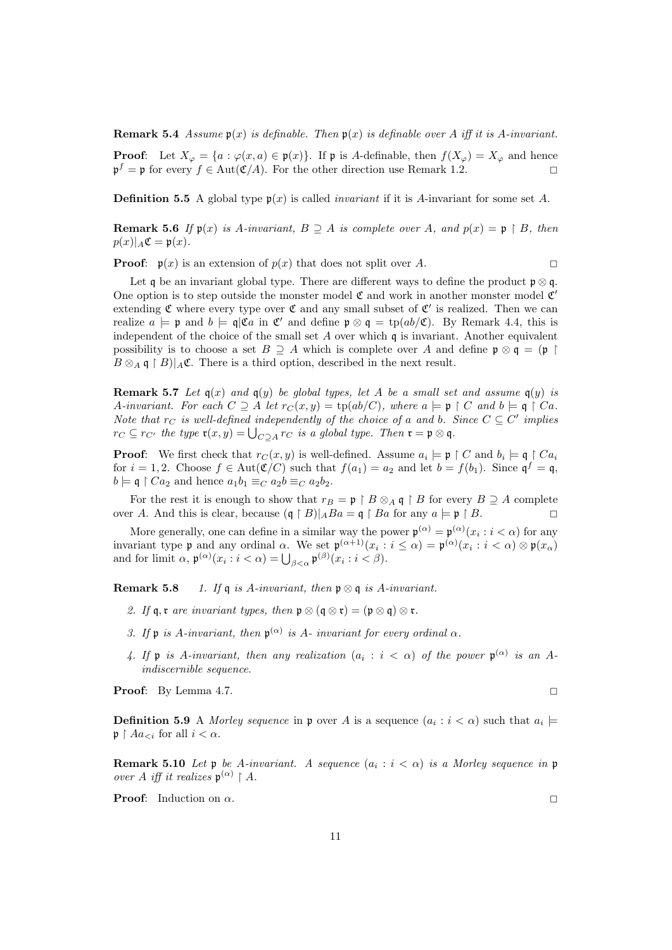**Remark 5.4** Assume  $\mathfrak{p}(x)$  is definable. Then  $\mathfrak{p}(x)$  is definable over A iff it is A-invariant.

**Proof:** Let  $X_{\varphi} = \{a : \varphi(x, a) \in \mathfrak{p}(x)\}\$ . If  $\mathfrak{p}$  is A-definable, then  $f(X_{\varphi}) = X_{\varphi}$  and hence  $\mathfrak{p}^f = \mathfrak{p}$  for every  $f \in \text{Aut}(\mathfrak{C}/A)$ . For the other direction use Remark 1.2.

**Definition 5.5** A global type  $p(x)$  is called *invariant* if it is A-invariant for some set A.

Remark 5.6 If  $\mathfrak{p}(x)$  is A-invariant,  $B \supseteq A$  is complete over A, and  $p(x) = \mathfrak{p} \restriction B$ , then  $p(x)|_A \mathfrak{C} = \mathfrak{p}(x).$ 

**Proof:**  $\mathfrak{p}(x)$  is an extension of  $p(x)$  that does not split over A.

Let q be an invariant global type. There are different ways to define the product  $\mathfrak{p} \otimes \mathfrak{q}$ . One option is to step outside the monster model  $\mathfrak C$  and work in another monster model  $\mathfrak C'$ extending  $\mathfrak C$  where every type over  $\mathfrak C$  and any small subset of  $\mathfrak C'$  is realized. Then we can realize  $a \models \mathfrak{p}$  and  $b \models \mathfrak{q} | \mathfrak{C}a$  in  $\mathfrak{C}'$  and define  $\mathfrak{p} \otimes \mathfrak{q} = \text{tp}(ab/\mathfrak{C})$ . By Remark 4.4, this is independent of the choice of the small set  $A$  over which  $\mathfrak q$  is invariant. Another equivalent possibility is to choose a set  $B \supseteq A$  which is complete over A and define  $\mathfrak{p} \otimes \mathfrak{q} = (\mathfrak{p})$  $B \otimes_A \mathfrak{q} \restriction B)|_A \mathfrak{C}$ . There is a third option, described in the next result.

**Remark 5.7** Let  $q(x)$  and  $q(y)$  be global types, let A be a small set and assume  $q(y)$  is A-invariant. For each  $C \supseteq A$  let  $r_C(x, y) = \text{tp}(ab/C)$ , where  $a \models \mathfrak{p} \restriction C$  and  $b \models \mathfrak{q} \restriction Ca$ . Note that  $r_C$  is well-defined independently of the choice of a and b. Since  $C \subseteq C'$  implies  $r_C \subseteq r_{C'}$  the type  $\mathfrak{r}(x,y) = \bigcup_{C \supseteq A} r_C$  is a global type. Then  $\mathfrak{r} = \mathfrak{p} \otimes \mathfrak{q}$ .

**Proof:** We first check that  $r_C(x, y)$  is well-defined. Assume  $a_i \models \mathfrak{p} \restriction C$  and  $b_i \models \mathfrak{q} \restriction Ca_i$ for  $i = 1, 2$ . Choose  $f \in Aut(\mathfrak{C}/C)$  such that  $f(a_1) = a_2$  and let  $b = f(b_1)$ . Since  $\mathfrak{q}^f = \mathfrak{q}$ ,  $b \models \mathfrak{q} \restriction Ca_2$  and hence  $a_1b_1 \equiv_C a_2b \equiv_C a_2b_2$ .

For the rest it is enough to show that  $r_B = \mathfrak{p} \restriction B \otimes_A \mathfrak{q} \restriction B$  for every  $B \supseteq A$  complete over A. And this is clear, because  $(\mathfrak{q} \restriction B)|_A B a = \mathfrak{q} \restriction B a$  for any  $a \models \mathfrak{p} \restriction B$ .

More generally, one can define in a similar way the power  $\mathfrak{p}^{(\alpha)} = \mathfrak{p}^{(\alpha)}(x_i : i < \alpha)$  for any invariant type **p** and any ordinal  $\alpha$ . We set  $\mathfrak{p}^{(\alpha+1)}(x_i : i \leq \alpha) = \mathfrak{p}^{(\alpha)}(x_i : i < \alpha) \otimes \mathfrak{p}(x_\alpha)$ and for limit  $\alpha$ ,  $\mathfrak{p}^{(\alpha)}(x_i : i < \alpha) = \bigcup_{\beta < \alpha} \mathfrak{p}^{(\beta)}(x_i : i < \beta).$ 

Remark 5.8 1. If q is A-invariant, then  $\mathfrak{p} \otimes \mathfrak{q}$  is A-invariant.

- 2. If  $\mathfrak{q}, \mathfrak{r}$  are invariant types, then  $\mathfrak{p} \otimes (\mathfrak{q} \otimes \mathfrak{r}) = (\mathfrak{p} \otimes \mathfrak{q}) \otimes \mathfrak{r}$ .
- 3. If  $\mathfrak p$  is A-invariant, then  $\mathfrak p^{(\alpha)}$  is A-invariant for every ordinal  $\alpha$ .
- 4. If  $\mathfrak p$  is A-invariant, then any realization  $(a_i : i < \alpha)$  of the power  $\mathfrak p^{(\alpha)}$  is an Aindiscernible sequence.

**Proof:** By Lemma 4.7.  $\Box$ 

**Definition 5.9** A Morley sequence in  $\mathfrak{p}$  over A is a sequence  $(a_i : i < \alpha)$  such that  $a_i \models$  $\mathfrak{p} \restriction Aa_{\leq i}$  for all  $i < \alpha$ .

**Remark 5.10** Let  $\mathfrak p$  be A-invariant. A sequence  $(a_i : i < \alpha)$  is a Morley sequence in  $\mathfrak p$ over A iff it realizes  $\mathfrak{p}^{(\alpha)} \restriction A$ .

**Proof:** Induction on  $\alpha$ .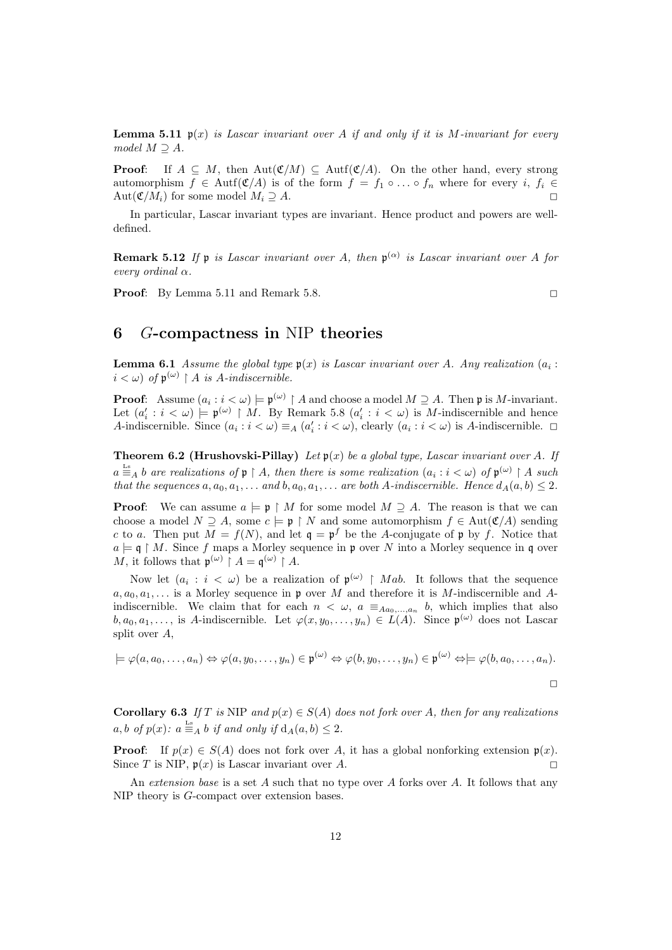**Lemma 5.11**  $\mathfrak{p}(x)$  is Lascar invariant over A if and only if it is M-invariant for every model  $M \supseteq A$ .

**Proof:** If  $A \subseteq M$ , then Aut $(\mathfrak{C}/M) \subseteq$  Autf $(\mathfrak{C}/A)$ . On the other hand, every strong automorphism  $f \in \text{Autf}(\mathfrak{C}/A)$  is of the form  $f = f_1 \circ \ldots \circ f_n$  where for every i,  $f_i \in$ Aut $(\mathfrak{C}/M_i)$  for some model  $M_i \supseteq A$ .

In particular, Lascar invariant types are invariant. Hence product and powers are welldefined.

**Remark 5.12** If  $\mathfrak{p}$  is Lascar invariant over A, then  $\mathfrak{p}^{(\alpha)}$  is Lascar invariant over A for every ordinal α.

**Proof:** By Lemma 5.11 and Remark 5.8.  $\Box$ 

# 6 G-compactness in NIP theories

**Lemma 6.1** Assume the global type  $\mathfrak{p}(x)$  is Lascar invariant over A. Any realization  $(a_i :$  $i < \omega$ ) of  $\mathfrak{p}^{(\omega)} \upharpoonright A$  is A-indiscernible.

**Proof:** Assume  $(a_i : i < \omega) \models \mathfrak{p}^{(\omega)} \restriction A$  and choose a model  $M \supseteq A$ . Then  $\mathfrak{p}$  is M-invariant. Let  $(a_i' : i < \omega) \models \mathfrak{p}^{(\omega)} \upharpoonright M$ . By Remark 5.8  $(a_i' : i < \omega)$  is M-indiscernible and hence A-indiscernible. Since  $(a_i : i < \omega) \equiv_A (a'_i : i < \omega)$ , clearly  $(a_i : i < \omega)$  is A-indiscernible.  $\Box$ 

**Theorem 6.2 (Hrushovski-Pillay)** Let  $\mathfrak{p}(x)$  be a global type, Lascar invariant over A. If  $a \stackrel{\text{Ls}}{=} A b$  are realizations of  $\mathfrak{p} \restriction A$ , then there is some realization  $(a_i : i < \omega)$  of  $\mathfrak{p}^{(\omega)} \restriction A$  such that the sequences  $a, a_0, a_1, \ldots$  and  $b, a_0, a_1, \ldots$  are both A-indiscernible. Hence  $d_A(a, b) \leq 2$ .

**Proof:** We can assume  $a \models \mathfrak{p} \restriction M$  for some model  $M \supseteq A$ . The reason is that we can choose a model  $N \supseteq A$ , some  $c \models \mathfrak{p} \restriction N$  and some automorphism  $f \in Aut(\mathfrak{C}/A)$  sending c to a. Then put  $M = f(N)$ , and let  $\mathfrak{q} = \mathfrak{p}^f$  be the A-conjugate of p by f. Notice that  $a \models \mathfrak{q} \restriction M$ . Since f maps a Morley sequence in p over N into a Morley sequence in q over M, it follows that  $\mathfrak{p}^{(\omega)} \restriction A = \mathfrak{q}^{(\omega)} \restriction A$ .

Now let  $(a_i : i < \omega)$  be a realization of  $\mathfrak{p}^{(\omega)} \restriction Mab$ . It follows that the sequence  $a, a_0, a_1, \ldots$  is a Morley sequence in p over M and therefore it is M-indiscernible and Aindiscernible. We claim that for each  $n < \omega$ ,  $a \equiv_{Aa_0,...,a_n} b$ , which implies that also  $b, a_0, a_1, \ldots$ , is A-indiscernible. Let  $\varphi(x, y_0, \ldots, y_n) \in L(A)$ . Since  $\mathfrak{p}^{(\omega)}$  does not Lascar split over A,

$$
\models \varphi(a, a_0, \dots, a_n) \Leftrightarrow \varphi(a, y_0, \dots, y_n) \in \mathfrak{p}^{(\omega)} \Leftrightarrow \varphi(b, y_0, \dots, y_n) \in \mathfrak{p}^{(\omega)} \Leftrightarrow \models \varphi(b, a_0, \dots, a_n).
$$

Corollary 6.3 If T is NIP and  $p(x) \in S(A)$  does not fork over A, then for any realizations  $a, b \text{ of } p(x): a \stackrel{\text{Ls}}{=} A b \text{ if and only if } d_A(a, b) \leq 2.$ 

**Proof:** If  $p(x) \in S(A)$  does not fork over A, it has a global nonforking extension  $p(x)$ . Since T is NIP,  $\mathfrak{p}(x)$  is Lascar invariant over A.

An extension base is a set  $A$  such that no type over  $A$  forks over  $A$ . It follows that any NIP theory is G-compact over extension bases.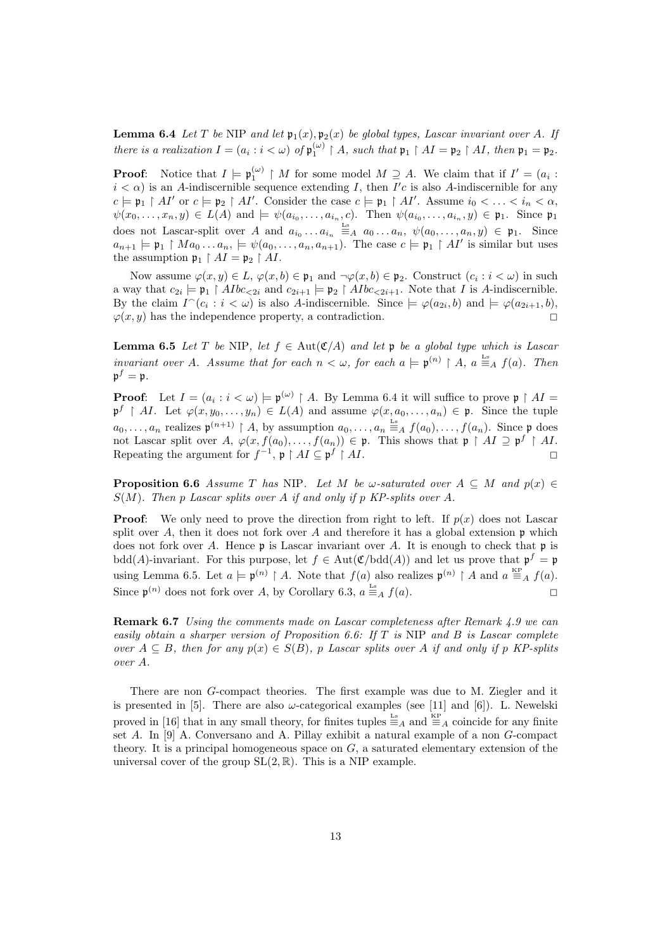**Lemma 6.4** Let T be NIP and let  $\mathfrak{p}_1(x), \mathfrak{p}_2(x)$  be global types, Lascar invariant over A. If there is a realization  $I = (a_i : i < \omega)$  of  $\mathfrak{p}_1^{(\omega)} \upharpoonright A$ , such that  $\mathfrak{p}_1 \upharpoonright AI = \mathfrak{p}_2 \upharpoonright AI$ , then  $\mathfrak{p}_1 = \mathfrak{p}_2$ .

**Proof:** Notice that  $I \models \mathfrak{p}_1^{(\omega)} \restriction M$  for some model  $M \supseteq A$ . We claim that if  $I' = (a_i :$  $i < \alpha$ ) is an A-indiscernible sequence extending I, then I'c is also A-indiscernible for any  $c \models \mathfrak{p}_1 \upharpoonright AI'$  or  $c \models \mathfrak{p}_2 \upharpoonright AI'$ . Consider the case  $c \models \mathfrak{p}_1 \upharpoonright AI'$ . Assume  $i_0 < \ldots < i_n < \alpha$ ,  $\psi(x_0,\ldots,x_n,y)\in L(A)$  and  $\models \psi(a_{i_0},\ldots,a_{i_n},c)$ . Then  $\psi(a_{i_0},\ldots,a_{i_n},y)\in\mathfrak{p}_1$ . Since  $\mathfrak{p}_1$ does not Lascar-split over A and  $a_{i_0} \ldots a_{i_n} \stackrel{\text{Ls}}{=} A \ a_0 \ldots a_n, \ \psi(a_0, \ldots, a_n, y) \in \mathfrak{p}_1$ . Since  $a_{n+1} \models \mathfrak{p}_1 \upharpoonright Ma_0 \ldots a_n, \models \psi(a_0, \ldots, a_n, a_{n+1})$ . The case  $c \models \mathfrak{p}_1 \upharpoonright A I'$  is similar but uses the assumption  $\mathfrak{p}_1 \upharpoonright AI = \mathfrak{p}_2 \upharpoonright AI$ .

Now assume  $\varphi(x, y) \in L$ ,  $\varphi(x, b) \in \mathfrak{p}_1$  and  $\neg \varphi(x, b) \in \mathfrak{p}_2$ . Construct  $(c_i : i < \omega)$  in such a way that  $c_{2i} \models \mathfrak{p}_1 \restriction A\text{I}bc_{\leq 2i}$  and  $c_{2i+1} \models \mathfrak{p}_2 \restriction A\text{I}bc_{\leq 2i+1}$ . Note that I is A-indiscernible. By the claim  $I^{\frown}(c_i : i < \omega)$  is also A-indiscernible. Since  $\models \varphi(a_{2i}, b)$  and  $\models \varphi(a_{2i+1}, b)$ ,  $\varphi(x, y)$  has the independence property, a contradiction.

**Lemma 6.5** Let T be NIP, let  $f \in Aut(\mathfrak{C}/A)$  and let p be a global type which is Lascar invariant over A. Assume that for each  $n < \omega$ , for each  $a \models \mathfrak{p}^{(n)} \restriction A$ ,  $a \stackrel{\text{Ls}}{=} A$  f(a). Then  $\mathfrak{p}^f = \mathfrak{p}.$ 

**Proof:** Let  $I = (a_i : i < \omega) \models \mathfrak{p}^{(\omega)} \upharpoonright A$ . By Lemma 6.4 it will suffice to prove  $\mathfrak{p} \upharpoonright A I =$  $\mathfrak{p}^f \restriction AI.$  Let  $\varphi(x, y_0, \ldots, y_n) \in L(A)$  and assume  $\varphi(x, a_0, \ldots, a_n) \in \mathfrak{p}$ . Since the tuple  $a_0, \ldots, a_n$  realizes  $\mathfrak{p}^{(n+1)} \restriction A$ , by assumption  $a_0, \ldots, a_n \stackrel{\text{Ls}}{=} A f(a_0), \ldots, f(a_n)$ . Since  $\mathfrak{p}$  does not Lascar split over  $A, \varphi(x, f(a_0), \ldots, f(a_n)) \in \mathfrak{p}$ . This shows that  $\mathfrak{p} \restriction A I \supseteq \mathfrak{p}^f \restriction A I$ . Repeating the argument for  $f^{-1}$ ,  $\mathfrak{p} \restriction AI \subseteq \mathfrak{p}^f$  $\uparrow AI.$ 

**Proposition 6.6** Assume T has NIP. Let M be  $\omega$ -saturated over  $A \subseteq M$  and  $p(x) \in$  $S(M)$ . Then p Lascar splits over A if and only if p KP-splits over A.

**Proof:** We only need to prove the direction from right to left. If  $p(x)$  does not Lascar split over A, then it does not fork over A and therefore it has a global extension  $\mathfrak p$  which does not fork over A. Hence  $\mathfrak p$  is Lascar invariant over A. It is enough to check that  $\mathfrak p$  is  $\text{bdd}(A)$ -invariant. For this purpose, let  $f \in \text{Aut}(\mathfrak{C}/\text{bdd}(A))$  and let us prove that  $\mathfrak{p}^f = \mathfrak{p}$ using Lemma 6.5. Let  $a \models \mathfrak{p}^{(n)} \restriction A$ . Note that  $f(a)$  also realizes  $\mathfrak{p}^{(n)} \restriction A$  and  $a \stackrel{\text{KP}}{=} A f(a)$ . Since  $\mathfrak{p}^{(n)}$  does not fork over A, by Corollary 6.3,  $a \stackrel{\text{Ls}}{=} A f(a)$ .

Remark 6.7 Using the comments made on Lascar completeness after Remark 4.9 we can easily obtain a sharper version of Proposition 6.6: If  $T$  is NIP and  $B$  is Lascar complete over  $A \subseteq B$ , then for any  $p(x) \in S(B)$ , p Lascar splits over A if and only if p KP-splits over A.

There are non G-compact theories. The first example was due to M. Ziegler and it is presented in [5]. There are also  $\omega$ -categorical examples (see [11] and [6]). L. Newelski proved in [16] that in any small theory, for finites tuples  $\frac{1}{n}$  and  $\frac{1}{n}$  coincide for any finite set A. In  $[9]$  A. Conversano and A. Pillay exhibit a natural example of a non G-compact theory. It is a principal homogeneous space on  $G$ , a saturated elementary extension of the universal cover of the group  $SL(2, \mathbb{R})$ . This is a NIP example.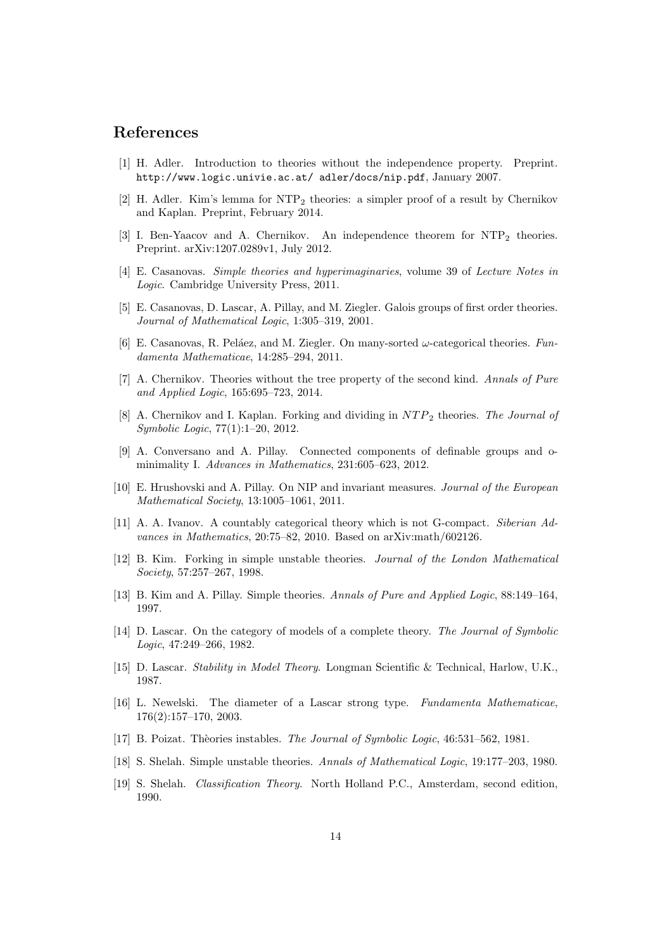#### References

- [1] H. Adler. Introduction to theories without the independence property. Preprint. http://www.logic.univie.ac.at/ adler/docs/nip.pdf, January 2007.
- [2] H. Adler. Kim's lemma for  $NTP_2$  theories: a simpler proof of a result by Chernikov and Kaplan. Preprint, February 2014.
- [3] I. Ben-Yaacov and A. Chernikov. An independence theorem for NTP<sup>2</sup> theories. Preprint. arXiv:1207.0289v1, July 2012.
- [4] E. Casanovas. Simple theories and hyperimaginaries, volume 39 of Lecture Notes in Logic. Cambridge University Press, 2011.
- [5] E. Casanovas, D. Lascar, A. Pillay, and M. Ziegler. Galois groups of first order theories. Journal of Mathematical Logic, 1:305–319, 2001.
- [6] E. Casanovas, R. Peláez, and M. Ziegler. On many-sorted  $\omega$ -categorical theories. Fundamenta Mathematicae, 14:285–294, 2011.
- [7] A. Chernikov. Theories without the tree property of the second kind. Annals of Pure and Applied Logic, 165:695–723, 2014.
- [8] A. Chernikov and I. Kaplan. Forking and dividing in  $NTP_2$  theories. The Journal of Symbolic Logic, 77(1):1–20, 2012.
- [9] A. Conversano and A. Pillay. Connected components of definable groups and ominimality I. Advances in Mathematics, 231:605-623, 2012.
- [10] E. Hrushovski and A. Pillay. On NIP and invariant measures. Journal of the European Mathematical Society, 13:1005–1061, 2011.
- [11] A. A. Ivanov. A countably categorical theory which is not G-compact. Siberian Advances in Mathematics, 20:75–82, 2010. Based on arXiv:math/602126.
- [12] B. Kim. Forking in simple unstable theories. Journal of the London Mathematical Society, 57:257–267, 1998.
- [13] B. Kim and A. Pillay. Simple theories. Annals of Pure and Applied Logic, 88:149–164, 1997.
- [14] D. Lascar. On the category of models of a complete theory. The Journal of Symbolic Logic, 47:249–266, 1982.
- [15] D. Lascar. Stability in Model Theory. Longman Scientific & Technical, Harlow, U.K., 1987.
- [16] L. Newelski. The diameter of a Lascar strong type. Fundamenta Mathematicae, 176(2):157–170, 2003.
- [17] B. Poizat. Thèories instables. The Journal of Symbolic Logic, 46:531–562, 1981.
- [18] S. Shelah. Simple unstable theories. Annals of Mathematical Logic, 19:177–203, 1980.
- [19] S. Shelah. Classification Theory. North Holland P.C., Amsterdam, second edition, 1990.